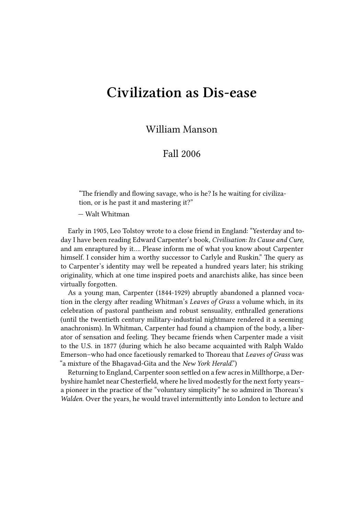## **Civilization as Dis-ease**

William Manson

## Fall 2006

"The friendly and flowing savage, who is he? Is he waiting for civilization, or is he past it and mastering it?"

— Walt Whitman

Early in 1905, Leo Tolstoy wrote to a close friend in England: "Yesterday and today I have been reading Edward Carpenter's book, *Civilisation: Its Cause and Cure*, and am enraptured by it…. Please inform me of what you know about Carpenter himself. I consider him a worthy successor to Carlyle and Ruskin." The query as to Carpenter's identity may well be repeated a hundred years later; his striking originality, which at one time inspired poets and anarchists alike, has since been virtually forgotten.

As a young man, Carpenter (1844-1929) abruptly abandoned a planned vocation in the clergy after reading Whitman's *Leaves of Grass* a volume which, in its celebration of pastoral pantheism and robust sensuality, enthralled generations (until the twentieth century military-industrial nightmare rendered it a seeming anachronism). In Whitman, Carpenter had found a champion of the body, a liberator of sensation and feeling. They became friends when Carpenter made a visit to the U.S. in 1877 (during which he also became acquainted with Ralph Waldo Emerson–who had once facetiously remarked to Thoreau that *Leaves of Grass* was "a mixture of the Bhagavad-Gita and the *New York Herald*.")

Returning to England, Carpenter soon settled on a few acres in Millthorpe, a Derbyshire hamlet near Chesterfield, where he lived modestly for the next forty years– a pioneer in the practice of the "voluntary simplicity" he so admired in Thoreau's *Walden*. Over the years, he would travel intermittently into London to lecture and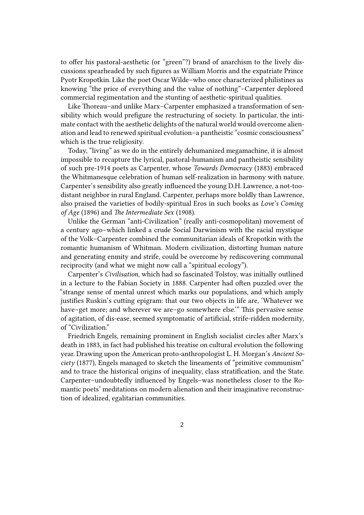to offer his pastoral-aesthetic (or "green"?) brand of anarchism to the lively discussions spearheaded by such figures as William Morris and the expatriate Prince Pyotr Kropotkin. Like the poet Oscar Wilde–who once characterized philistines as knowing "the price of everything and the value of nothing"–Carpenter deplored commercial regimentation and the stunting of aesthetic-spiritual qualities.

Like Thoreau–and unlike Marx–Carpenter emphasized a transformation of sensibility which would prefigure the restructuring of society. In particular, the intimate contact with the aesthetic delights of the natural world would overcome alienation and lead to renewed spiritual evolution–a pantheistic "cosmic consciousness" which is the true religiosity.

Today, "living" as we do in the entirely dehumanized megamachine, it is almost impossible to recapture the lyrical, pastoral-humanism and pantheistic sensibility of such pre-1914 poets as Carpenter, whose *Towards Democracy* (1883) embraced the Whitmanesque celebration of human self-realization in harmony with nature. Carpenter's sensibility also greatly influenced the young D.H. Lawrence, a not-toodistant neighbor in rural England. Carpenter, perhaps more boldly than Lawrence, also praised the varieties of bodily-spiritual Eros in such books as *Love's Coming of Age* (1896) and *The Intermediate Sex* (1908).

Unlike the German "anti-Civilization" (really anti-cosmopolitan) movement of a century ago–which linked a crude Social Darwinism with the racial mystique of the Volk–Carpenter combined the communitarian ideals of Kropotkin with the romantic humanism of Whitman. Modern civilization, distorting human nature and generating enmity and strife, could be overcome by rediscovering communal reciprocity (and what we might now call a "spiritual ecology").

Carpenter's *Civilisation*, which had so fascinated Tolstoy, was initially outlined in a lecture to the Fabian Society in 1888. Carpenter had often puzzled over the "strange sense of mental unrest which marks our populations, and which amply justifies Ruskin's cutting epigram: that our two objects in life are, 'Whatever we have–get more; and wherever we are–go somewhere else." This pervasive sense of agitation, of dis-ease, seemed symptomatic of artificial, strife-ridden modernity, of "Civilization."

Friedrich Engels, remaining prominent in English socialist circles after Marx's death in 1883, in fact had published his treatise on cultural evolution the following year. Drawing upon the American proto-anthropologist L. H. Morgan's *Ancient Society* (1877), Engels managed to sketch the lineaments of "primitive communism" and to trace the historical origins of inequality, class stratification, and the State. Carpenter–undoubtedly influenced by Engels–was nonetheless closer to the Romantic poets' meditations on modern alienation and their imaginative reconstruction of idealized, egalitarian communities.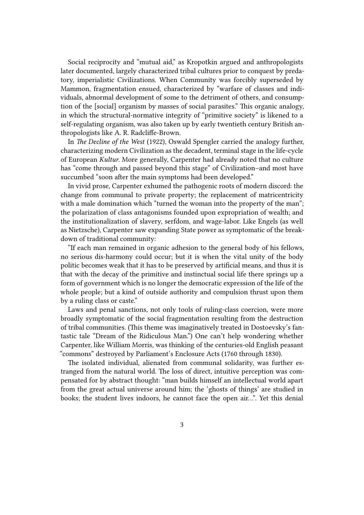Social reciprocity and "mutual aid," as Kropotkin argued and anthropologists later documented, largely characterized tribal cultures prior to conquest by predatory, imperialistic Civilizations. When Community was forcibly superseded by Mammon, fragmentation ensued, characterized by "warfare of classes and individuals, abnormal development of some to the detriment of others, and consumption of the [social] organism by masses of social parasites." This organic analogy, in which the structural-normative integrity of "primitive society" is likened to a self-regulating organism, was also taken up by early twentieth century British anthropologists like A. R. Radcliffe-Brown.

In *The Decline of the West* (1922), Oswald Spengler carried the analogy further, characterizing modern Civilization as the decadent, terminal stage in the life-cycle of European *Kultur*. More generally, Carpenter had already noted that no culture has "come through and passed beyond this stage" of Civilization–and most have succumbed "soon after the main symptoms had been developed."

In vivid prose, Carpenter exhumed the pathogenic roots of modern discord: the change from communal to private property; the replacement of matricentricity with a male domination which "turned the woman into the property of the man"; the polarization of class antagonisms founded upon expropriation of wealth; and the institutionalization of slavery, serfdom, and wage-labor. Like Engels (as well as Nietzsche), Carpenter saw expanding State power as symptomatic of the breakdown of traditional community:

"If each man remained in organic adhesion to the general body of his fellows, no serious dis-harmony could occur; but it is when the vital unity of the body politic becomes weak that it has to be preserved by artificial means, and thus it is that with the decay of the primitive and instinctual social life there springs up a form of government which is no longer the democratic expression of the life of the whole people; but a kind of outside authority and compulsion thrust upon them by a ruling class or caste."

Laws and penal sanctions, not only tools of ruling-class coercion, were more broadly symptomatic of the social fragmentation resulting from the destruction of tribal communities. (This theme was imaginatively treated in Dostoevsky's fantastic tale "Dream of the Ridiculous Man.") One can't help wondering whether Carpenter, like William Morris, was thinking of the centuries-old English peasant "commons" destroyed by Parliament's Enclosure Acts (1760 through 1830).

The isolated individual, alienated from communal solidarity, was further estranged from the natural world. The loss of direct, intuitive perception was compensated for by abstract thought: "man builds himself an intellectual world apart from the great actual universe around him; the 'ghosts of things' are studied in books; the student lives indoors, he cannot face the open air…". Yet this denial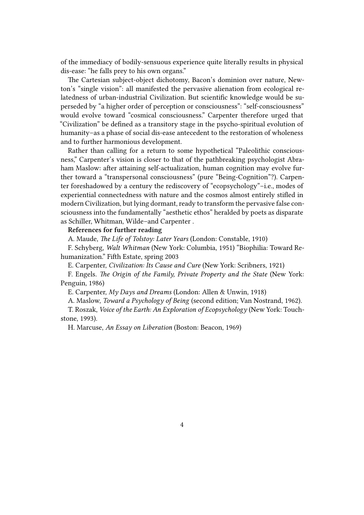of the immediacy of bodily-sensuous experience quite literally results in physical dis-ease: "he falls prey to his own organs."

The Cartesian subject-object dichotomy, Bacon's dominion over nature, Newton's "single vision": all manifested the pervasive alienation from ecological relatedness of urban-industrial Civilization. But scientific knowledge would be superseded by "a higher order of perception or consciousness": "self-consciousness" would evolve toward "cosmical consciousness." Carpenter therefore urged that "Civilization" be defined as a transitory stage in the psycho-spiritual evolution of humanity–as a phase of social dis-ease antecedent to the restoration of wholeness and to further harmonious development.

Rather than calling for a return to some hypothetical "Paleolithic consciousness," Carpenter's vision is closer to that of the pathbreaking psychologist Abraham Maslow: after attaining self-actualization, human cognition may evolve further toward a "transpersonal consciousness" (pure "Being-Cognition"?). Carpenter foreshadowed by a century the rediscovery of "ecopsychology"–i.e., modes of experiential connectedness with nature and the cosmos almost entirely stifled in modern Civilization, but lying dormant, ready to transform the pervasive false consciousness into the fundamentally "aesthetic ethos" heralded by poets as disparate as Schiller, Whitman, Wilde–and Carpenter .

## **References for further reading**

A. Maude, *The Life of Tolstoy: Later Years* (London: Constable, 1910)

F. Schyberg, *Walt Whitman* (New York: Columbia, 1951) "Biophilia: Toward Rehumanization." Fifth Estate, spring 2003

E. Carpenter, *Civilization: Its Cause and Cure* (New York: Scribners, 1921)

F. Engels. *The Origin of the Family, Private Property and the State* (New York: Penguin, 1986)

E. Carpenter, *My Days and Dreams* (London: Allen & Unwin, 1918)

A. Maslow, *Toward a Psychology of Being* (second edition; Van Nostrand, 1962).

T. Roszak, *Voice of the Earth: An Exploration of Ecopsychology* (New York: Touchstone, 1993).

H. Marcuse, *An Essay on Liberation* (Boston: Beacon, 1969)